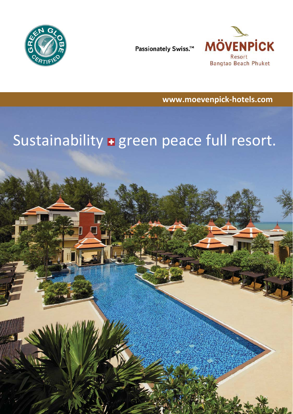

Passionately Swiss.™



**www.moevenpick-hotels.com** 

# Sustainability **+** green peace full resort.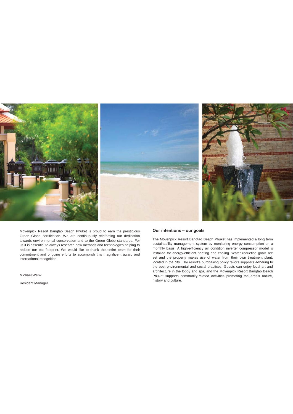

Mövenpick Resort Bangtao Beach Phuket is proud to earn the prestigious Green Globe certification. We are continuously reinforcing our dedication towards environmental conservation and to the Green Globe standards. For us it is essential to always research new methods and technologies helping to reduce our eco-footprint. We would like to thank the entire team for their commitment and ongoing efforts to accomplish this magnificent award and international recognition.

Michael Wenk

Resident Manager

#### **Our intentions – our goals**

The Mövenpick Resort Bangtao Beach Phuket has implemented a long term sustainability management system by monitoring energy consumption on a monthly basis. A high-efficiency air condition inverter compressor model is installed for energy-efficient heating and cooling. Water reduction goals are set and the property makes use of water from their own treatment plant, located in the city. The resort's purchasing policy favors suppliers adhering to the best environmental and social practices. Guests can enjoy local art and architecture in the lobby and spa, and the Mövenpick Resort Bangtao Beach Phuket supports community-related activities promoting the area's nature, history and culture.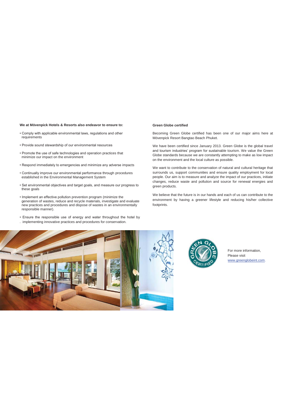#### **We at Mövenpick Hotels & Resorts also endeavor to ensure to:**

- Comply with applicable environmental laws, regulations and other requirements
- Provide sound stewardship of our environmental resources
- Promote the use of safe technologies and operation practices that minimize our impact on the environment
- Respond immediately to emergencies and minimize any adverse impacts
- Continually improve our environmental performance through procedures established in the Environmental Management System
- Set environmental objectives and target goals, and measure our progress to these goals
- Implement an effective pollution prevention program (minimize the generation of wastes, reduce and recycle materials, investigate and evaluate new practices and procedures and dispose of wastes in an environmentally responsible manner).
- Ensure the responsible use of energy and water throughout the hotel by . implementing innovative practices and procedures for conservation.

#### **Green Globe certified**

Becoming Green Globe certified has been one of our major aims here at Mövenpick Resort Bangtao Beach Phuket.

We have been certified since January 2013. Green Globe is the global travel and tourism industries' program for sustainable tourism. We value the Green Globe standards because we are constantly attempting to make as low impact on the environment and the local culture as possible.

We want to contribute to the conservation of natural and cultural heritage that surrounds us, support communities and ensure quality employment for local people. Our aim is to measure and analyze the impact of our practices, initiate changes, reduce waste and pollution and source for renewal energies and green products.

We believe that the future is in our hands and each of us can contribute to the environment by having a greener lifestyle and reducing his/her collective footprints.





 For more information, Please visit www.greenglobeint.com.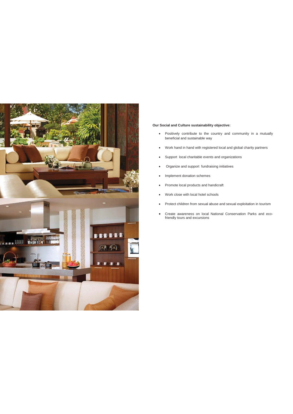

## **Our Social and Culture sustainability objective:**

- Positively contribute to the country and community in a mutually beneficial and sustainable way
- Work hand in hand with registered local and global charity partners
- Support local charitable events and organizations
- Organize and support fundraising initiatives
- Implement donation schemes
- Promote local products and handicraft
- Work close with local hotel schools
- Protect children from sexual abuse and sexual exploitation in tourism
- Create awareness on local National Conservation Parks and ecofriendly tours and excursions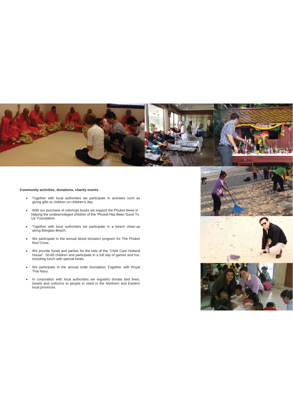

# **Community activities, donations, charity events**

- Together with local authorities we participate in activities such as giving gifts to children on children's day.
- With our purchase of colorings books we support the Phuket News in helping the underprivileged children of the 'Phuket Has Been Good To Us' Foundation.
	- Together with local authorities we participate in a beach clean-up along Bangtao Beach.
	- We participate in the annual blood donation program for The Phuket Red Cross.
	- We provide funds and parties for the kids of the "Child Care Holland House". 50-60 children and participate in a full day of games and fun, including lunch with special treats.
	- We participate in the annual turtle foundation Together with Royal Thai Navy.
	- In corporation with local authorities we regularly donate bed linen, towels and uniforms to people in need in the Northern and Eastern local provinces.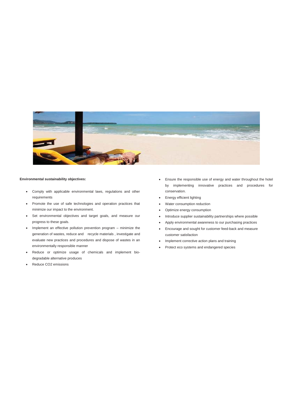

### **Environmental sustainability objectives:**

- Comply with applicable environmental laws, regulations and other requirements
- Promote the use of safe technologies and operation practices that minimize our impact to the environment.
- Set environmental objectives and target goals, and measure our progress to these goals.
- Implement an effective pollution prevention program minimize the generation of wastes, reduce and recycle materials , investigate and evaluate new practices and procedures and dispose of wastes in an environmentally responsible manner
- Reduce or optimize usage of chemicals and implement biodegradable alternative produces
- Reduce CO2 emissions
- Ensure the responsible use of energy and water throughout the hotel by implementing innovative practices and procedures for conservation.
- Energy efficient lighting
- Water consumption reduction
- Optimize energy consumption
- Introduce supplier sustainability partnerships where possible
- x Apply environmental awareness to our purchasing practices
- **•** Encourage and sought for customer feed-back and measure customer satisfaction
- Implement corrective action plans and training
- Protect eco systems and endangered species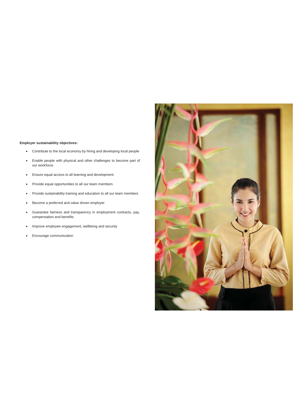## **Employer sustainability objectives:**

- Contribute to the local economy by hiring and developing local people
- Enable people with physical and other challenges to become part of our workforce
- **•** Ensure equal access to all learning and development
- Provide equal opportunities to all our team members
- Provide sustainability training and education to all our team members
- **•** Become a preferred and value driven employer
- x Guarantee fairness and transparency in employment contracts, pay, compensation and benefits
- Improve employee engagement, wellbeing and security
- Encourage communication

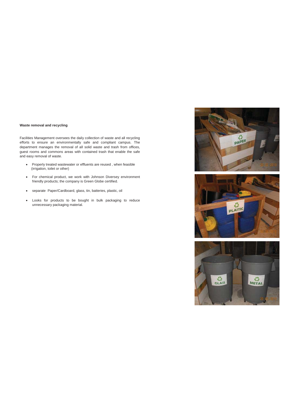### **Waste removal and recycling**

Facilities Management oversees the daily collection of waste and all recycling efforts to ensure an environmentally safe and compliant campus. The department manages the removal of all solid waste and trash from offices, guest rooms and commons areas with contained trash that enable the safe and easy removal of waste.

- Properly treated wastewater or effluents are reused, when feasible (irrigation, toilet or other)
- For chemical product, we work with Johnson Diversey environment friendly products; the company is Green Globe certified.
- x separate Paper/Cardboard, glass, tin, batteries, plastic, oil
- x Looks for products to be bought in bulk packaging to reduce unnecessary packaging material.